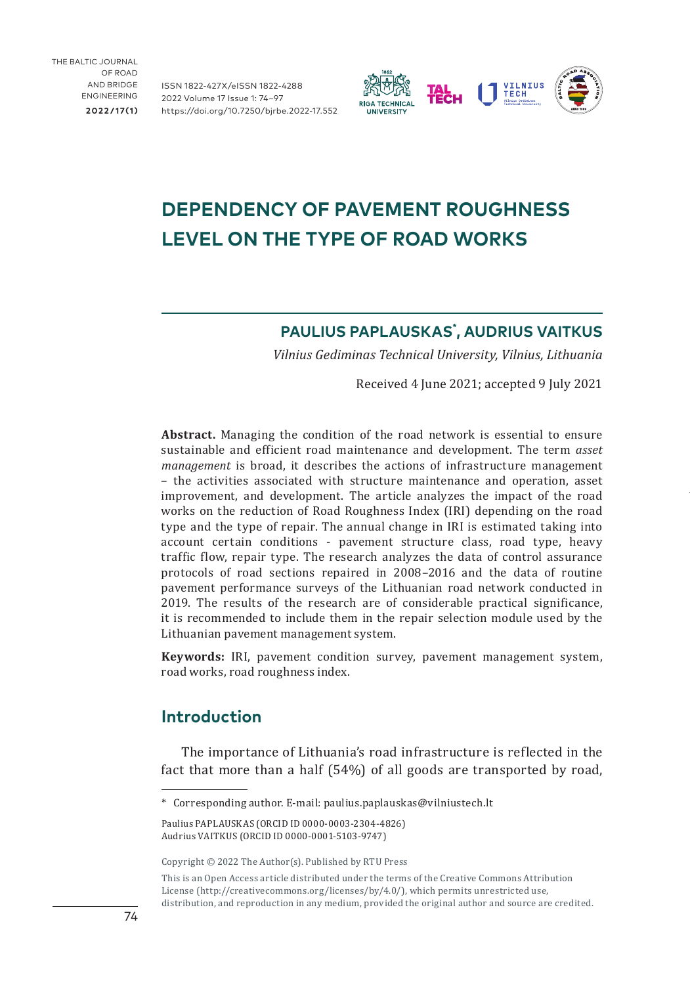THE BALTIC JOURNAL OF ROAD AND BRIDGE ENGINEERING **2022/17(1)**

ISSN 1822-427X/eISSN 1822-4288 2022 Volume 17 Issue 1: 74–97 [https://doi.org/10.7250/bjrbe.2022-17.55](https://doi.org/10.7250/bjrbe.2022-17.552)2



# **DEPENDENCY OF PAVEMENT ROUGHNESS LEVEL ON THE TYPE OF ROAD WORKS**

## **PAULIUS PAPLAUSKAS\* , AUDRIUS VAITKUS**

*Vilnius Gediminas Technical University, Vilnius, Lithuania*

Received 4 June 2021; accepted 9 July 2021

**Abstract.** Managing the condition of the road network is essential to ensure sustainable and efficient road maintenance and development. The term *asset management* is broad, it describes the actions of infrastructure management – the activities associated with structure maintenance and operation, asset improvement, and development. The article analyzes the impact of the road works on the reduction of Road Roughness Index (IRI) depending on the road type and the type of repair. The annual change in IRI is estimated taking into account certain conditions - pavement structure class, road type, heavy traffic flow, repair type. The research analyzes the data of control assurance protocols of road sections repaired in 2008–2016 and the data of routine pavement performance surveys of the Lithuanian road network conducted in 2019. The results of the research are of considerable practical significance, it is recommended to include them in the repair selection module used by the Lithuanian pavement management system.

**Keywords:** IRI, pavement condition survey, pavement management system, road works, road roughness index.

## **Introduction**

The importance of Lithuania's road infrastructure is reflected in the fact that more than a half (54%) of all goods are transported by road,

<sup>\*</sup> Corresponding author. E-mail: [paulius.paplauskas@vilniustech.lt](mailto:paulius.paplauskas@vilniustech.lt)

Paulius PAPLAUSKAS [\(ORCID ID 0000-0003-2304-4826](https://orcid.org/0000-0003-2304-4826)) Audrius VAITKUS [\(ORCID ID 0000-0001-5103-9747](https://orcid.org/0000-0001-5103-9747))

Copyright © 2022 The Author(s). Published by RTU Press

This is an Open Access article distributed under the terms of the Creative Commons Attribution License (<http://creativecommons.org/licenses/by/4.0/>), which permits unrestricted use, distribution, and reproduction in any medium, provided the original author and source are credited.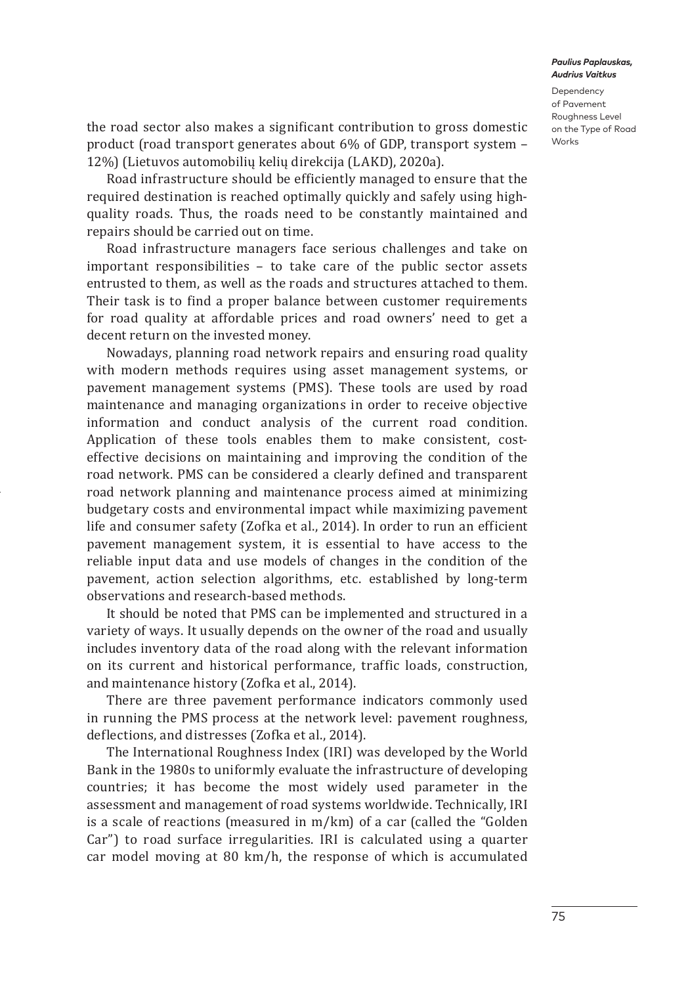Dependency of Pavement Roughness Level on the Type of Road Works

the road sector also makes a significant contribution to gross domestic product (road transport generates about 6% of GDP, transport system – 12%) (Lietuvos automobilių kelių direkcija (LAKD), 2020a).

Road infrastructure should be efficiently managed to ensure that the required destination is reached optimally quickly and safely using highquality roads. Thus, the roads need to be constantly maintained and repairs should be carried out on time.

Road infrastructure managers face serious challenges and take on important responsibilities – to take care of the public sector assets entrusted to them, as well as the roads and structures attached to them. Their task is to find a proper balance between customer requirements for road quality at affordable prices and road owners' need to get a decent return on the invested money.

Nowadays, planning road network repairs and ensuring road quality with modern methods requires using asset management systems, or pavement management systems (PMS). These tools are used by road maintenance and managing organizations in order to receive objective information and conduct analysis of the current road condition. Application of these tools enables them to make consistent, costeffective decisions on maintaining and improving the condition of the road network. PMS can be considered a clearly defined and transparent road network planning and maintenance process aimed at minimizing budgetary costs and environmental impact while maximizing pavement life and consumer safety (Zofka et al., 2014). In order to run an efficient pavement management system, it is essential to have access to the reliable input data and use models of changes in the condition of the pavement, action selection algorithms, etc. established by long-term observations and research-based methods.

It should be noted that PMS can be implemented and structured in a variety of ways. It usually depends on the owner of the road and usually includes inventory data of the road along with the relevant information on its current and historical performance, traffic loads, construction, and maintenance history (Zofka et al., 2014).

There are three pavement performance indicators commonly used in running the PMS process at the network level: pavement roughness, deflections, and distresses (Zofka et al., 2014).

The International Roughness Index (IRI) was developed by the World Bank in the 1980s to uniformly evaluate the infrastructure of developing countries; it has become the most widely used parameter in the assessment and management of road systems worldwide. Technically, IRI is a scale of reactions (measured in m/km) of a car (called the "Golden Car") to road surface irregularities. IRI is calculated using a quarter car model moving at 80 km/h, the response of which is accumulated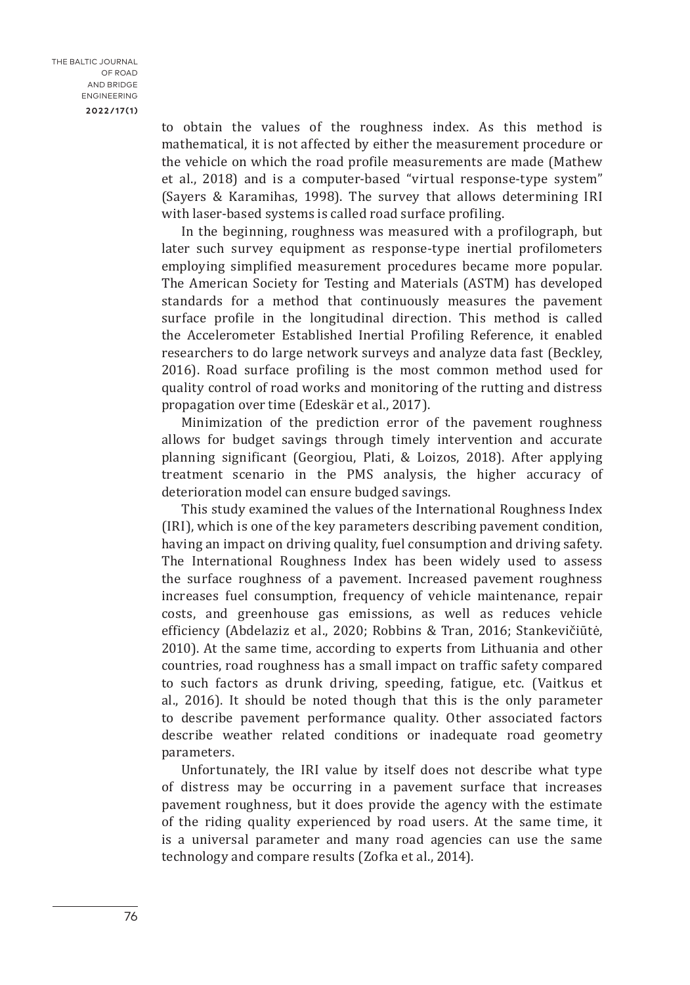to obtain the values of the roughness index. As this method is mathematical, it is not affected by either the measurement procedure or the vehicle on which the road profile measurements are made (Mathew et al., 2018) and is a computer-based "virtual response-type system" (Sayers & Karamihas, 1998). The survey that allows determining IRI with laser-based systems is called road surface profiling.

In the beginning, roughness was measured with a profilograph, but later such survey equipment as response-type inertial profilometers employing simplified measurement procedures became more popular. The American Society for Testing and Materials (ASTM) has developed standards for a method that continuously measures the pavement surface profile in the longitudinal direction. This method is called the Accelerometer Established Inertial Profiling Reference, it enabled researchers to do large network surveys and analyze data fast (Beckley, 2016). Road surface profiling is the most common method used for quality control of road works and monitoring of the rutting and distress propagation over time (Edeskär et al., 2017).

Minimization of the prediction error of the pavement roughness allows for budget savings through timely intervention and accurate planning significant (Georgiou, Plati, & Loizos, 2018). After applying treatment scenario in the PMS analysis, the higher accuracy of deterioration model can ensure budged savings.

This study examined the values of the International Roughness Index (IRI), which is one of the key parameters describing pavement condition, having an impact on driving quality, fuel consumption and driving safety. The International Roughness Index has been widely used to assess the surface roughness of a pavement. Increased pavement roughness increases fuel consumption, frequency of vehicle maintenance, repair costs, and greenhouse gas emissions, as well as reduces vehicle efficiency (Abdelaziz et al., 2020; Robbins & Tran, 2016; Stankevičiūtė, 2010). At the same time, according to experts from Lithuania and other countries, road roughness has a small impact on traffic safety compared to such factors as drunk driving, speeding, fatigue, etc. (Vaitkus et al., 2016). It should be noted though that this is the only parameter to describe pavement performance quality. Other associated factors describe weather related conditions or inadequate road geometry parameters.

Unfortunately, the IRI value by itself does not describe what type of distress may be occurring in a pavement surface that increases pavement roughness, but it does provide the agency with the estimate of the riding quality experienced by road users. At the same time, it is a universal parameter and many road agencies can use the same technology and compare results (Zofka et al., 2014).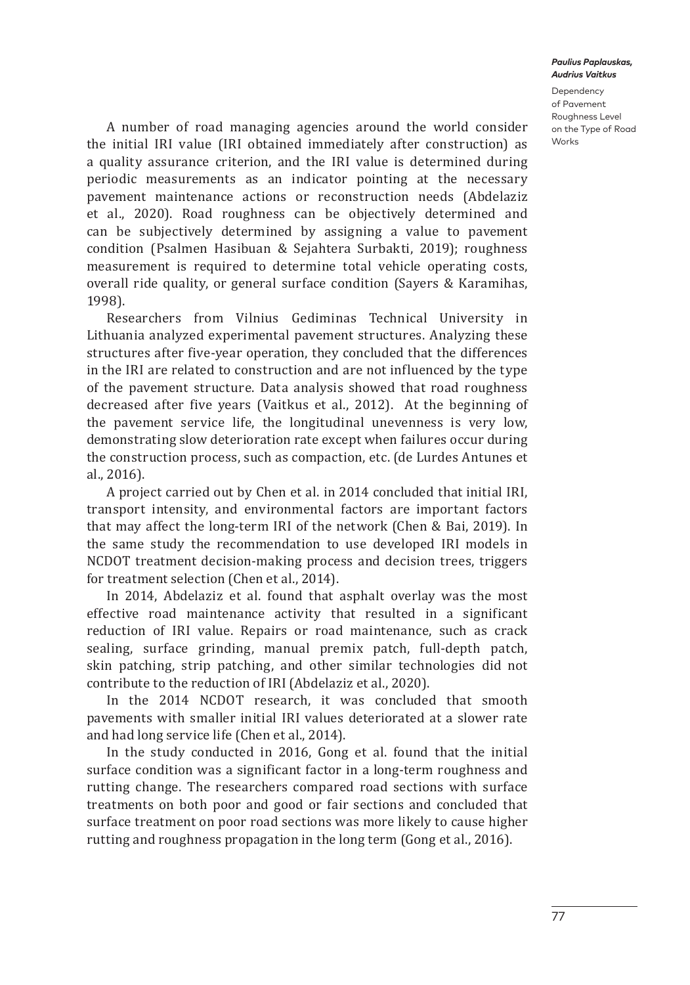Dependency of Pavement Roughness Level on the Type of Road Works

A number of road managing agencies around the world consider the initial IRI value (IRI obtained immediately after construction) as a quality assurance criterion, and the IRI value is determined during periodic measurements as an indicator pointing at the necessary pavement maintenance actions or reconstruction needs (Abdelaziz et al., 2020). Road roughness can be objectively determined and can be subjectively determined by assigning a value to pavement condition (Psalmen Hasibuan & Sejahtera Surbakti, 2019); roughness measurement is required to determine total vehicle operating costs, overall ride quality, or general surface condition (Sayers & Karamihas, 1998).

Researchers from Vilnius Gediminas Technical University in Lithuania analyzed experimental pavement structures. Analyzing these structures after five-year operation, they concluded that the differences in the IRI are related to construction and are not influenced by the type of the pavement structure. Data analysis showed that road roughness decreased after five years (Vaitkus et al., 2012). At the beginning of the pavement service life, the longitudinal unevenness is very low, demonstrating slow deterioration rate except when failures occur during the construction process, such as compaction, etc. (de Lurdes Antunes et al., 2016).

A project carried out by Chen et al. in 2014 concluded that initial IRI, transport intensity, and environmental factors are important factors that may affect the long-term IRI of the network (Chen & Bai, 2019). In the same study the recommendation to use developed IRI models in NCDOT treatment decision-making process and decision trees, triggers for treatment selection (Chen et al., 2014).

In 2014, Abdelaziz et al. found that asphalt overlay was the most effective road maintenance activity that resulted in a significant reduction of IRI value. Repairs or road maintenance, such as crack sealing, surface grinding, manual premix patch, full-depth patch, skin patching, strip patching, and other similar technologies did not contribute to the reduction of IRI (Abdelaziz et al., 2020).

In the 2014 NCDOT research, it was concluded that smooth pavements with smaller initial IRI values deteriorated at a slower rate and had long service life (Chen et al., 2014).

In the study conducted in 2016, Gong et al. found that the initial surface condition was a significant factor in a long-term roughness and rutting change. The researchers compared road sections with surface treatments on both poor and good or fair sections and concluded that surface treatment on poor road sections was more likely to cause higher rutting and roughness propagation in the long term (Gong et al., 2016).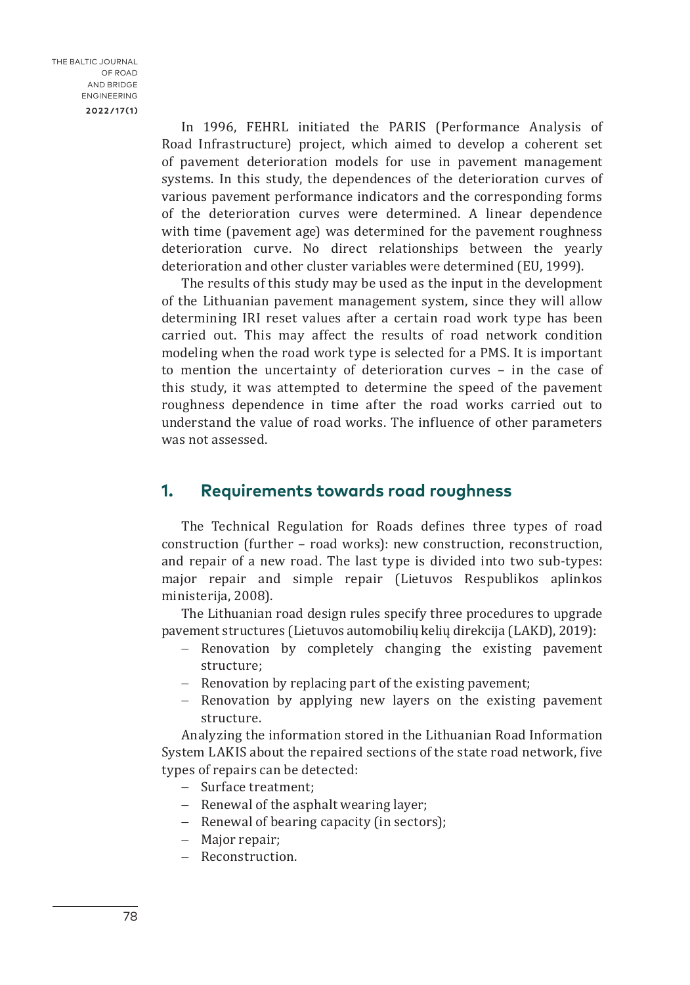In 1996, FEHRL initiated the PARIS (Performance Analysis of Road Infrastructure) project, which aimed to develop a coherent set of pavement deterioration models for use in pavement management systems. In this study, the dependences of the deterioration curves of various pavement performance indicators and the corresponding forms of the deterioration curves were determined. A linear dependence with time (pavement age) was determined for the pavement roughness deterioration curve. No direct relationships between the yearly deterioration and other cluster variables were determined (EU, 1999).

The results of this study may be used as the input in the development of the Lithuanian pavement management system, since they will allow determining IRI reset values after a certain road work type has been carried out. This may affect the results of road network condition modeling when the road work type is selected for a PMS. It is important to mention the uncertainty of deterioration curves – in the case of this study, it was attempted to determine the speed of the pavement roughness dependence in time after the road works carried out to understand the value of road works. The influence of other parameters was not assessed.

## **1. Requirements towards road roughness**

The Technical Regulation for Roads defines three types of road construction (further – road works): new construction, reconstruction, and repair of a new road. The last type is divided into two sub-types: major repair and simple repair (Lietuvos Respublikos aplinkos ministerija, 2008).

The Lithuanian road design rules specify three procedures to upgrade pavement structures (Lietuvos automobilių kelių direkcija (LAKD), 2019):

- − Renovation by completely changing the existing pavement structure;
- − Renovation by replacing part of the existing pavement;
- − Renovation by applying new layers on the existing pavement structure.

Analyzing the information stored in the Lithuanian Road Information System LAKIS about the repaired sections of the state road network, five types of repairs can be detected:

- − Surface treatment;
- − Renewal of the asphalt wearing layer;
- − Renewal of bearing capacity (in sectors);
- − Major repair;
- − Reconstruction.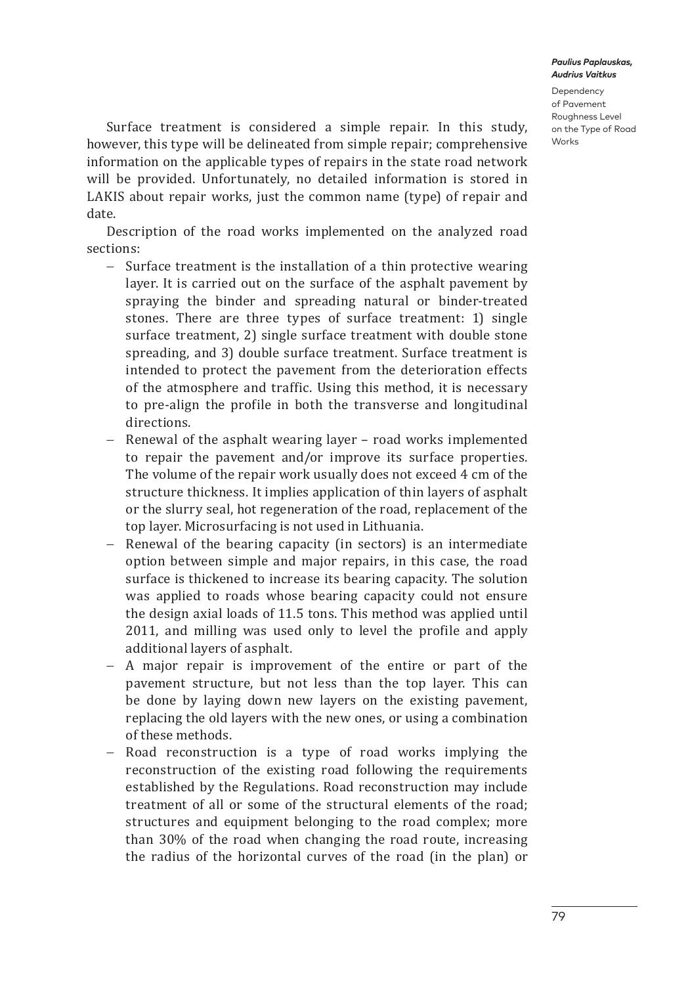Dependency of Pavement Roughness Level on the Type of Road Works

Surface treatment is considered a simple repair. In this study, however, this type will be delineated from simple repair; comprehensive information on the applicable types of repairs in the state road network will be provided. Unfortunately, no detailed information is stored in LAKIS about repair works, just the common name (type) of repair and date.

Description of the road works implemented on the analyzed road sections:

- − Surface treatment is the installation of a thin protective wearing layer. It is carried out on the surface of the asphalt pavement by spraying the binder and spreading natural or binder-treated stones. There are three types of surface treatment: 1) single surface treatment, 2) single surface treatment with double stone spreading, and 3) double surface treatment. Surface treatment is intended to protect the pavement from the deterioration effects of the atmosphere and traffic. Using this method, it is necessary to pre-align the profile in both the transverse and longitudinal directions.
- − Renewal of the asphalt wearing layer road works implemented to repair the pavement and/or improve its surface properties. The volume of the repair work usually does not exceed 4 cm of the structure thickness. It implies application of thin layers of asphalt or the slurry seal, hot regeneration of the road, replacement of the top layer. Microsurfacing is not used in Lithuania.
- − Renewal of the bearing capacity (in sectors) is an intermediate option between simple and major repairs, in this case, the road surface is thickened to increase its bearing capacity. The solution was applied to roads whose bearing capacity could not ensure the design axial loads of 11.5 tons. This method was applied until 2011, and milling was used only to level the profile and apply additional layers of asphalt.
- − A major repair is improvement of the entire or part of the pavement structure, but not less than the top layer. This can be done by laying down new layers on the existing pavement, replacing the old layers with the new ones, or using a combination of these methods.
- − Road reconstruction is a type of road works implying the reconstruction of the existing road following the requirements established by the Regulations. Road reconstruction may include treatment of all or some of the structural elements of the road; structures and equipment belonging to the road complex; more than 30% of the road when changing the road route, increasing the radius of the horizontal curves of the road (in the plan) or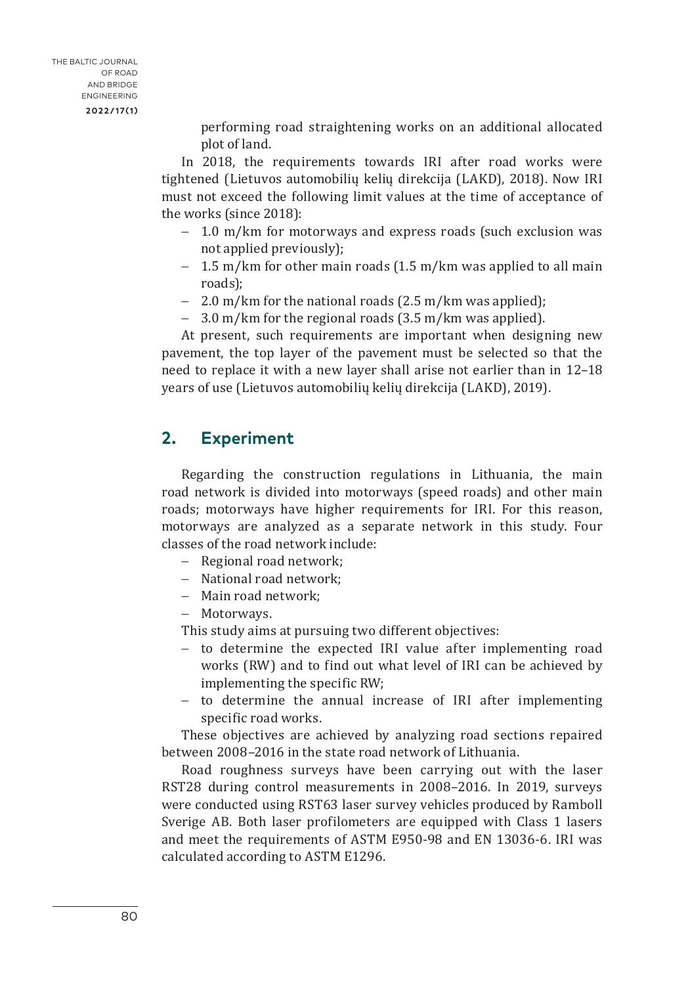performing road straightening works on an additional allocated plot of land.

In 2018, the requirements towards IRI after road works were tightened (Lietuvos automobilių kelių direkcija (LAKD), 2018). Now IRI must not exceed the following limit values at the time of acceptance of the works (since 2018):

- − 1.0 m/km for motorways and express roads (such exclusion was not applied previously);
- − 1.5 m/km for other main roads (1.5 m/km was applied to all main roads);
- − 2.0 m/km for the national roads (2.5 m/km was applied);
- − 3.0 m/km for the regional roads (3.5 m/km was applied).

At present, such requirements are important when designing new pavement, the top layer of the pavement must be selected so that the need to replace it with a new layer shall arise not earlier than in 12–18 years of use (Lietuvos automobilių kelių direkcija (LAKD), 2019).

## **2. Experiment**

Regarding the construction regulations in Lithuania, the main road network is divided into motorways (speed roads) and other main roads; motorways have higher requirements for IRI. For this reason, motorways are analyzed as a separate network in this study. Four classes of the road network include:

- − Regional road network;
- − National road network;
- − Main road network;
- − Motorways.

This study aims at pursuing two different objectives:

- − to determine the expected IRI value after implementing road works (RW) and to find out what level of IRI can be achieved by implementing the specific RW;
- − to determine the annual increase of IRI after implementing specific road works.

These objectives are achieved by analyzing road sections repaired between 2008–2016 in the state road network of Lithuania.

Road roughness surveys have been carrying out with the laser RST28 during control measurements in 2008–2016. In 2019, surveys were conducted using RST63 laser survey vehicles produced by Ramboll Sverige AB. Both laser profilometers are equipped with Class 1 lasers and meet the requirements of ASTM E950-98 and EN 13036-6. IRI was calculated according to ASTM E1296.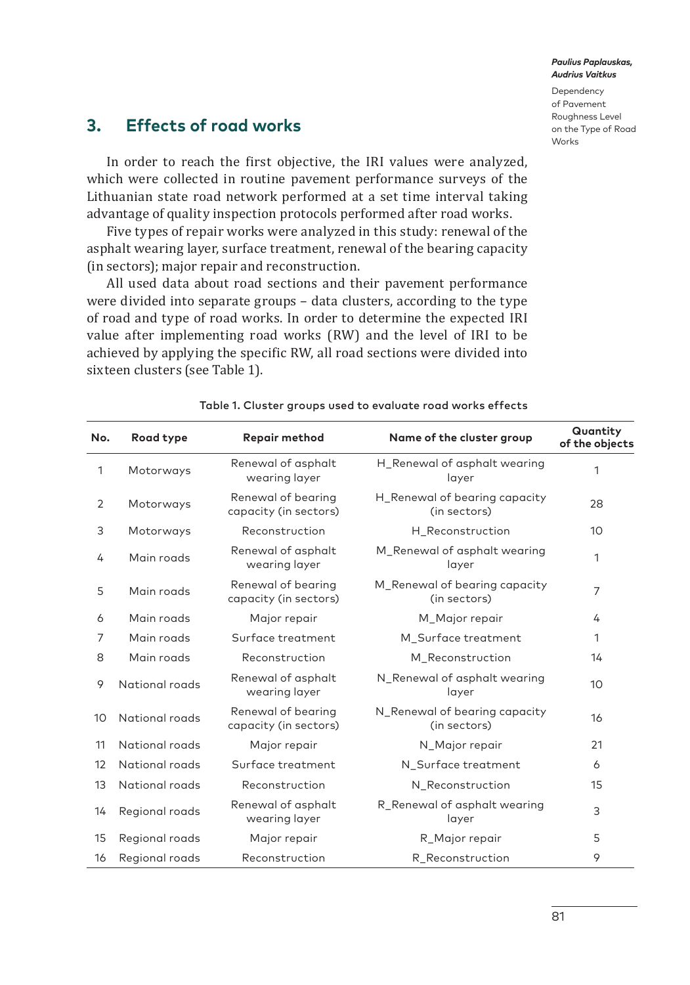Dependency of Pavement Roughness Level on the Type of Road Works

## **3. Effects of road works**

In order to reach the first objective, the IRI values were analyzed, which were collected in routine pavement performance surveys of the Lithuanian state road network performed at a set time interval taking advantage of quality inspection protocols performed after road works.

Five types of repair works were analyzed in this study: renewal of the asphalt wearing layer, surface treatment, renewal of the bearing capacity (in sectors); major repair and reconstruction.

All used data about road sections and their pavement performance were divided into separate groups – data clusters, according to the type of road and type of road works. In order to determine the expected IRI value after implementing road works (RW) and the level of IRI to be achieved by applying the specific RW, all road sections were divided into sixteen clusters (see Table 1).

| No.            | Road type      | Repair method                               | Name of the cluster group                     | Quantity<br>of the objects |
|----------------|----------------|---------------------------------------------|-----------------------------------------------|----------------------------|
| 1              | Motorways      | Renewal of asphalt<br>wearing layer         | H_Renewal of asphalt wearing<br>layer         | 1                          |
| $\overline{2}$ | Motorways      | Renewal of bearing<br>capacity (in sectors) | H_Renewal of bearing capacity<br>(in sectors) | 28                         |
| 3              | Motorways      | Reconstruction                              | H Reconstruction                              | 10                         |
| 4              | Main roads     | Renewal of asphalt<br>wearing layer         | M_Renewal of asphalt wearing<br>layer         | 1                          |
| 5              | Main roads     | Renewal of bearing<br>capacity (in sectors) | M_Renewal of bearing capacity<br>(in sectors) | $\overline{7}$             |
| 6              | Main roads     | Major repair                                | M_Major repair                                | 4                          |
| 7              | Main roads     | Surface treatment                           | M_Surface treatment                           | 1                          |
| 8              | Main roads     | Reconstruction                              | M Reconstruction                              | 14                         |
| 9              | National roads | Renewal of asphalt<br>wearing layer         | N_Renewal of asphalt wearing<br>layer         | 10                         |
| 10             | National roads | Renewal of bearing<br>capacity (in sectors) | N_Renewal of bearing capacity<br>(in sectors) | 16                         |
| 11             | National roads | Major repair                                | N_Major repair                                | 21                         |
| 12             | National roads | Surface treatment                           | N Surface treatment                           | 6                          |
| 13             | National roads | Reconstruction                              | N_Reconstruction                              | 15                         |
| 14             | Regional roads | Renewal of asphalt<br>wearing layer         | R_Renewal of asphalt wearing<br>layer         | 3                          |
| 15             | Regional roads | Major repair                                | R_Major repair                                | 5                          |
| 16             | Regional roads | Reconstruction                              | R Reconstruction                              | 9                          |

### Table 1. Cluster groups used to evaluate road works effects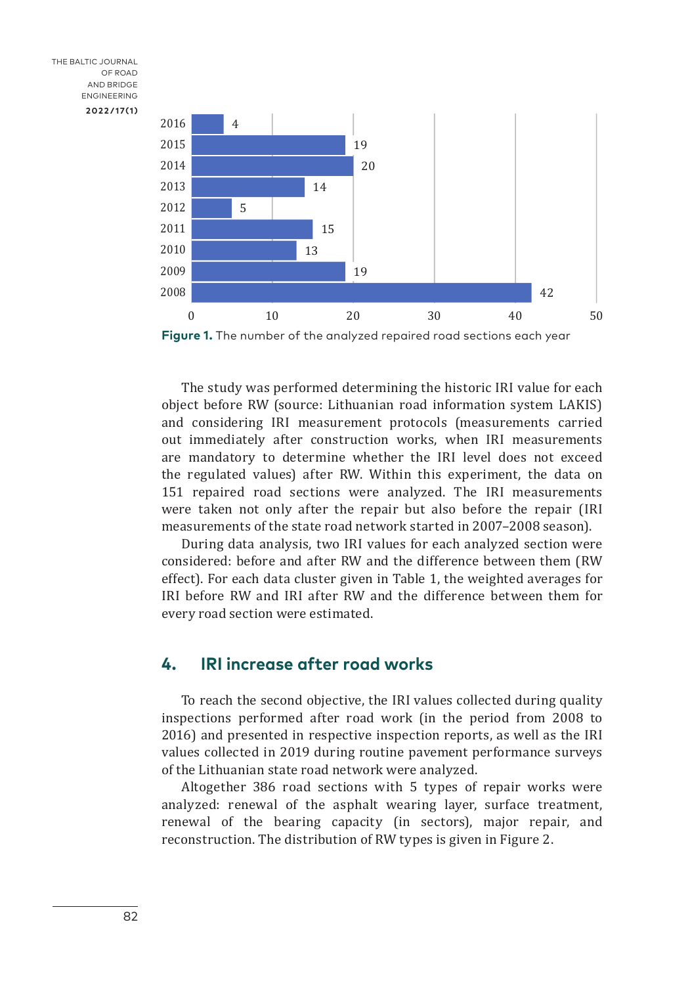THE BALTIC JOURNAL OF ROAD AND BRIDGE ENGINEERING **2022/17(1)**



**Figure 1.** The number of the analyzed repaired road sections each year

The study was performed determining the historic IRI value for each object before RW (source: Lithuanian road information system LAKIS) and considering IRI measurement protocols (measurements carried out immediately after construction works, when IRI measurements are mandatory to determine whether the IRI level does not exceed the regulated values) after RW. Within this experiment, the data on 151 repaired road sections were analyzed. The IRI measurements were taken not only after the repair but also before the repair (IRI measurements of the state road network started in 2007–2008 season).

During data analysis, two IRI values for each analyzed section were considered: before and after RW and the difference between them (RW effect). For each data cluster given in Table 1, the weighted averages for IRI before RW and IRI after RW and the difference between them for every road section were estimated.

## **4. IRI increase after road works**

To reach the second objective, the IRI values collected during quality inspections performed after road work (in the period from 2008 to 2016) and presented in respective inspection reports, as well as the IRI values collected in 2019 during routine pavement performance surveys of the Lithuanian state road network were analyzed.

Altogether 386 road sections with 5 types of repair works were analyzed: renewal of the asphalt wearing layer, surface treatment, renewal of the bearing capacity (in sectors), major repair, and reconstruction. The distribution of RW types is given in Figure 2.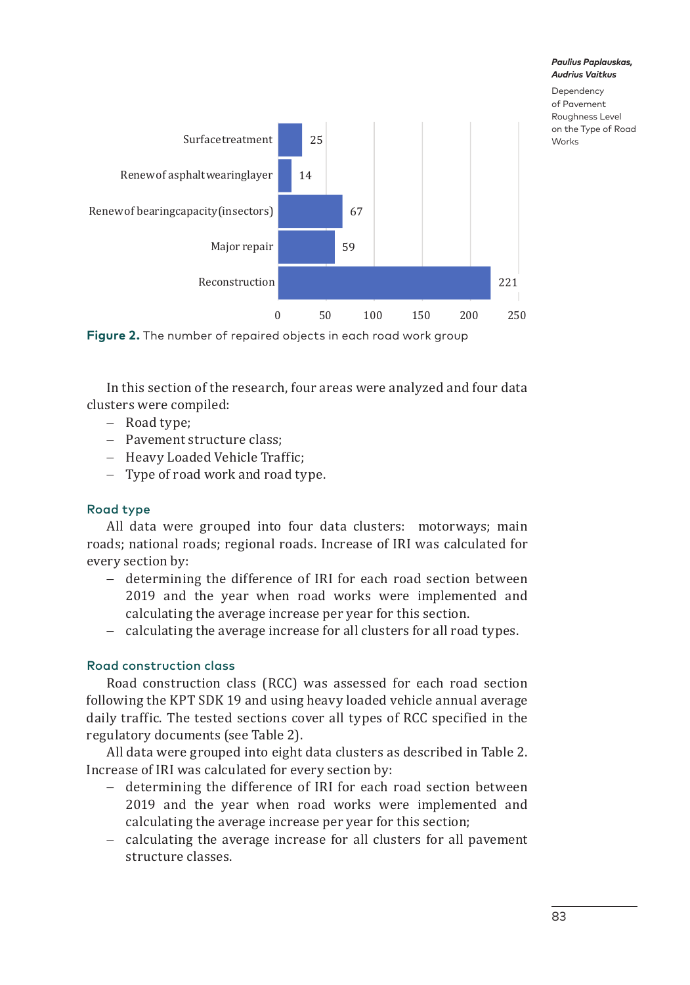



In this section of the research, four areas were analyzed and four data clusters were compiled:

- − Road type;
- − Pavement structure class;
- − Heavy Loaded Vehicle Traffic;
- − Type of road work and road type.

## Road type

All data were grouped into four data clusters: motorways; main roads; national roads; regional roads. Increase of IRI was calculated for every section by:

- − determining the difference of IRI for each road section between 2019 and the year when road works were implemented and calculating the average increase per year for this section.
- − calculating the average increase for all clusters for all road types.

## Road construction class

Road construction class (RCC) was assessed for each road section following the KPT SDK 19 and using heavy loaded vehicle annual average daily traffic. The tested sections cover all types of RCC specified in the regulatory documents (see Table 2).

All data were grouped into eight data clusters as described in Table 2. Increase of IRI was calculated for every section by:

- − determining the difference of IRI for each road section between 2019 and the year when road works were implemented and calculating the average increase per year for this section;
- − calculating the average increase for all clusters for all pavement structure classes.

*Paulius Paplauskas, Audrius Vaitkus* Dependency of Pavement Roughness Level on the Type of Road

Works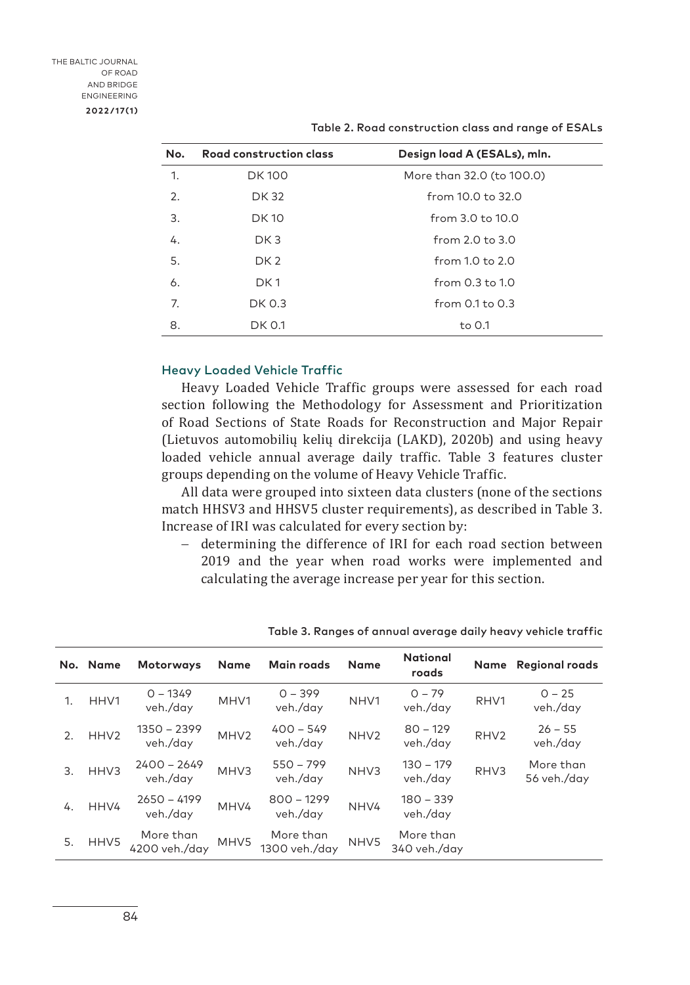| No. | Road construction class | Design load A (ESALs), mln. |
|-----|-------------------------|-----------------------------|
| 1.  | <b>DK100</b>            | More than 32.0 (to 100.0)   |
| 2.  | <b>DK32</b>             | from 10.0 to 32.0           |
| 3.  | DK 10                   | from 3.0 to 10.0            |
| 4.  | DK <sub>3</sub>         | from $2.0$ to $3.0$         |
| 5.  | DK <sub>2</sub>         | from 1.0 to 2.0             |
| 6.  | DK <sub>1</sub>         | from 0.3 to 1.0             |
| 7.  | DK 0.3                  | from $0.1$ to $0.3$         |
| 8.  | DK 0.1                  | to 0.1                      |

Table 2. Road construction class and range of ESALs

### Heavy Loaded Vehicle Traffic

Heavy Loaded Vehicle Traffic groups were assessed for each road section following the Methodology for Assessment and Prioritization of Road Sections of State Roads for Reconstruction and Major Repair (Lietuvos automobilių kelių direkcija (LAKD), 2020b) and using heavy loaded vehicle annual average daily traffic. Table 3 features cluster groups depending on the volume of Heavy Vehicle Traffic.

All data were grouped into sixteen data clusters (none of the sections match HHSV3 and HHSV5 cluster requirements), as described in Table 3. Increase of IRI was calculated for every section by:

− determining the difference of IRI for each road section between 2019 and the year when road works were implemented and calculating the average increase per year for this section.

|    | No. Name         | <b>Motorways</b>           | <b>Name</b>      | Main roads                 | <b>Name</b>      | <b>National</b><br>roads  | Name             | <b>Regional roads</b>    |
|----|------------------|----------------------------|------------------|----------------------------|------------------|---------------------------|------------------|--------------------------|
| 1. | HHV1             | $0 - 1349$<br>veh./day     | MHV1             | $0 - 399$<br>veh./day      | NHV <sub>1</sub> | $0 - 79$<br>veh./day      | RHV1             | $0 - 25$<br>veh./day     |
| 2. | HHV <sub>2</sub> | 1350 - 2399<br>veh./day    | MHV <sub>2</sub> | $400 - 549$<br>veh./day    | NHV <sub>2</sub> | $80 - 129$<br>veh./day    | RHV <sub>2</sub> | $26 - 55$<br>veh./day    |
| 3. | HHV3             | $2400 - 2649$<br>veh./day  | MHV3             | $550 - 799$<br>veh./day    | NHV3             | $130 - 179$<br>veh./day   | RHV3             | More than<br>56 veh./day |
| 4. | HHV4             | $2650 - 4199$<br>veh./day  | MHV4             | $800 - 1299$<br>veh./day   | NHV4             | $180 - 339$<br>veh./day   |                  |                          |
| 5. | HHV5             | More than<br>4200 veh./day | MHV5             | More than<br>1300 veh./day | NHV5             | More than<br>340 veh./day |                  |                          |

Table 3. Ranges of annual average daily heavy vehicle traffic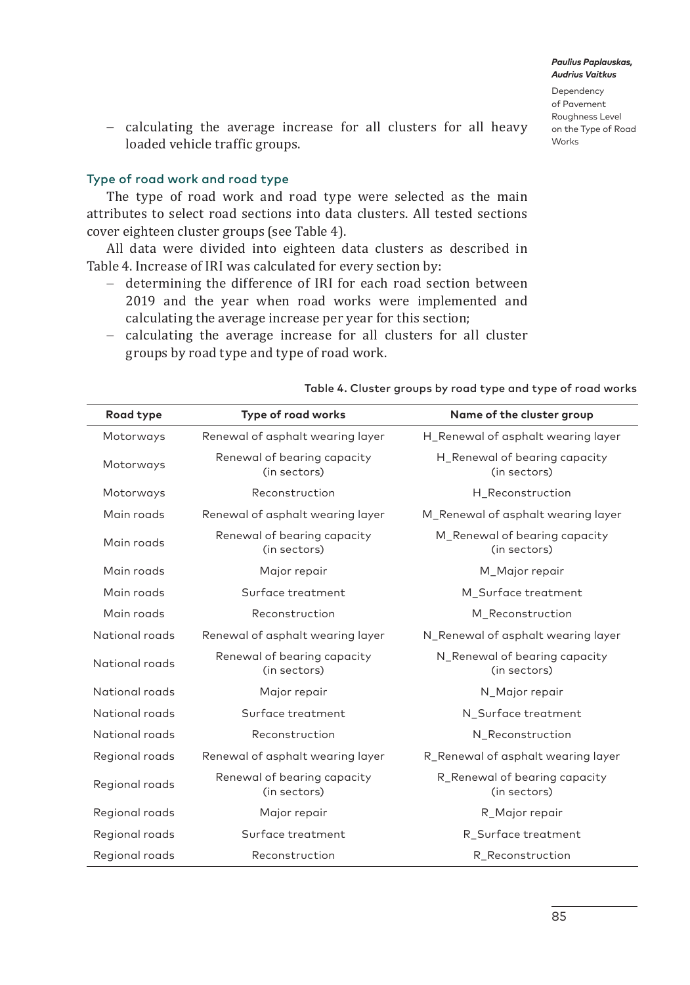Dependency of Pavement Roughness Level on the Type of Road Works

− calculating the average increase for all clusters for all heavy loaded vehicle traffic groups.

### Type of road work and road type

The type of road work and road type were selected as the main attributes to select road sections into data clusters. All tested sections cover eighteen cluster groups (see Table 4).

All data were divided into eighteen data clusters as described in Table 4. Increase of IRI was calculated for every section by:

− determining the difference of IRI for each road section between 2019 and the year when road works were implemented and calculating the average increase per year for this section;

| Road type      | Type of road works                          | Name of the cluster group                     |
|----------------|---------------------------------------------|-----------------------------------------------|
| Motorways      | Renewal of asphalt wearing layer            | H_Renewal of asphalt wearing layer            |
| Motorways      | Renewal of bearing capacity<br>(in sectors) | H_Renewal of bearing capacity<br>(in sectors) |
| Motorways      | Reconstruction                              | H Reconstruction                              |
| Main roads     | Renewal of asphalt wearing layer            | M_Renewal of asphalt wearing layer            |
| Main roads     | Renewal of bearing capacity<br>(in sectors) | M_Renewal of bearing capacity<br>(in sectors) |
| Main roads     | Major repair                                | M_Major repair                                |
| Main roads     | Surface treatment                           | M_Surface treatment                           |
| Main roads     | Reconstruction                              | M Reconstruction                              |
| National roads | Renewal of asphalt wearing layer            | N_Renewal of asphalt wearing layer            |
| National roads | Renewal of bearing capacity<br>(in sectors) | N_Renewal of bearing capacity<br>(in sectors) |
| National roads | Major repair                                | N_Major repair                                |
| National roads | Surface treatment                           | N_Surface treatment                           |
| National roads | Reconstruction                              | N_Reconstruction                              |
| Regional roads | Renewal of asphalt wearing layer            | R_Renewal of asphalt wearing layer            |
| Regional roads | Renewal of bearing capacity<br>(in sectors) | R_Renewal of bearing capacity<br>(in sectors) |
| Regional roads | Major repair                                | R Major repair                                |
| Regional roads | Surface treatment                           | R_Surface treatment                           |
| Regional roads | Reconstruction                              | R_Reconstruction                              |

− calculating the average increase for all clusters for all cluster groups by road type and type of road work.

Table 4. Cluster groups by road type and type of road works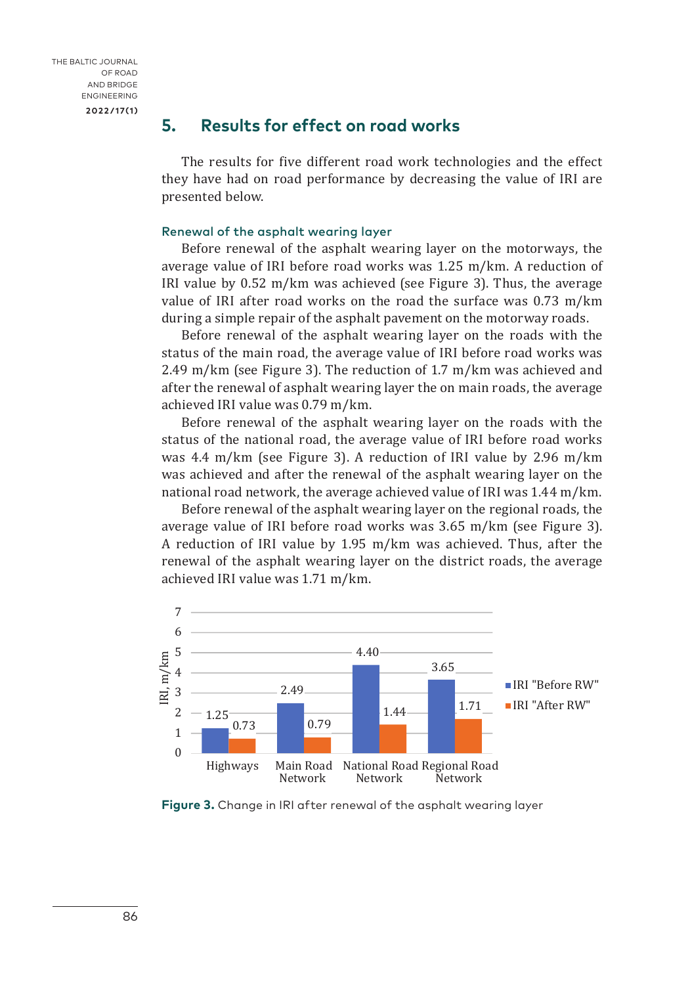THE BALTIC JOURNAL OF ROAD AND BRIDGE ENGINEERING **2022/17(1)**

## **5. Results for effect on road works**

The results for five different road work technologies and the effect they have had on road performance by decreasing the value of IRI are presented below.

### Renewal of the asphalt wearing layer

Before renewal of the asphalt wearing layer on the motorways, the average value of IRI before road works was 1.25 m/km. A reduction of IRI value by 0.52 m/km was achieved (see Figure 3). Thus, the average value of IRI after road works on the road the surface was 0.73 m/km during a simple repair of the asphalt pavement on the motorway roads.

Before renewal of the asphalt wearing layer on the roads with the status of the main road, the average value of IRI before road works was 2.49 m/km (see Figure 3). The reduction of 1.7 m/km was achieved and after the renewal of asphalt wearing layer the on main roads, the average achieved IRI value was 0.79 m/km.

Before renewal of the asphalt wearing layer on the roads with the status of the national road, the average value of IRI before road works was 4.4 m/km (see Figure 3). A reduction of IRI value by 2.96 m/km was achieved and after the renewal of the asphalt wearing layer on the national road network, the average achieved value of IRI was 1.44 m/km.

Before renewal of the asphalt wearing layer on the regional roads, the average value of IRI before road works was 3.65 m/km (see Figure 3). A reduction of IRI value by 1.95 m/km was achieved. Thus, after the renewal of the asphalt wearing layer on the district roads, the average achieved IRI value was 1.71 m/km.



**Figure 3.** Change in IRI after renewal of the asphalt wearing layer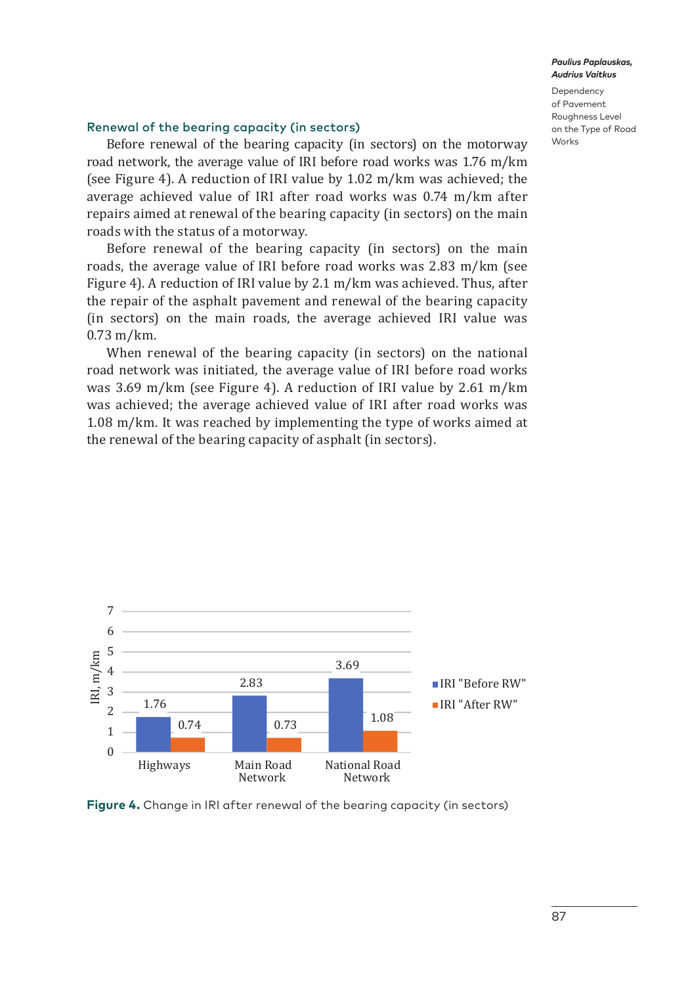Dependency of Pavement Roughness Level on the Type of Road Works

## Renewal of the bearing capacity (in sectors)

Before renewal of the bearing capacity (in sectors) on the motorway road network, the average value of IRI before road works was 1.76 m/km (see Figure 4). A reduction of IRI value by 1.02 m/km was achieved; the average achieved value of IRI after road works was 0.74 m/km after repairs aimed at renewal of the bearing capacity (in sectors) on the main roads with the status of a motorway.

Before renewal of the bearing capacity (in sectors) on the main roads, the average value of IRI before road works was 2.83 m/km (see Figure 4). A reduction of IRI value by 2.1 m/km was achieved. Thus, after the repair of the asphalt pavement and renewal of the bearing capacity (in sectors) on the main roads, the average achieved IRI value was 0.73 m/km.

When renewal of the bearing capacity (in sectors) on the national road network was initiated, the average value of IRI before road works van Herrich was minimized, the average value of the second worst weaken was achieved; the average achieved value of IRI after road works was  $1.08$  m/km. It was reached by implementing the type of works aimed at the renewal of the bearing capacity of asphalt (in sectors).  $\frac{1}{\text{t}}$ 



**Figure 4.** Change in IRI after renewal of the bearing capacity (in sectors)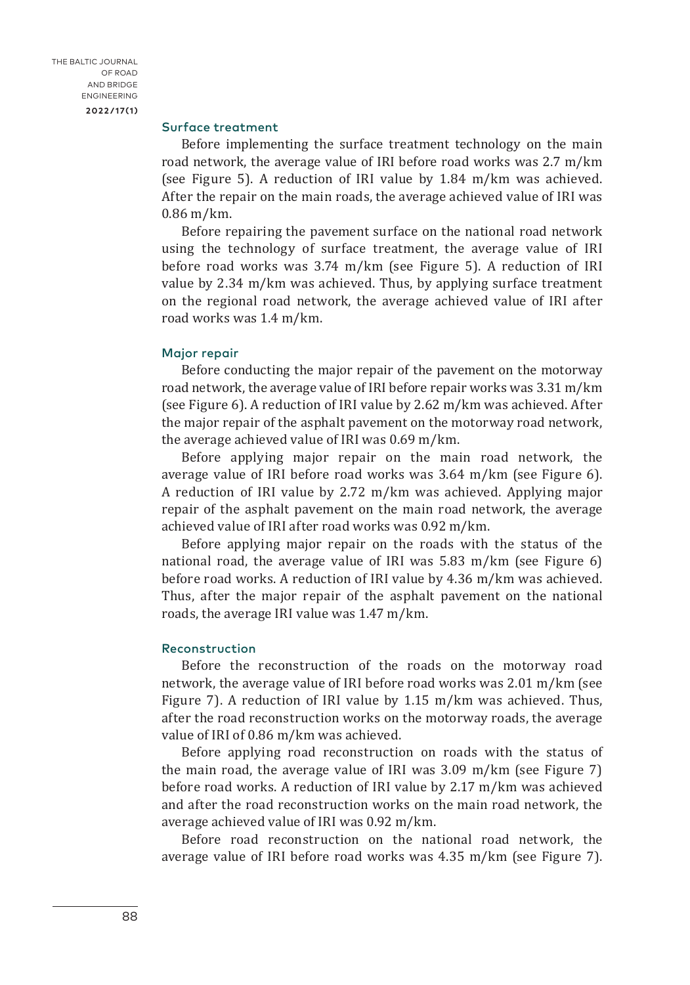THE BALTIC JOURNAL OF ROAD AND BRIDGE ENGINEERING **2022/17(1)**

#### Surface treatment

Before implementing the surface treatment technology on the main road network, the average value of IRI before road works was 2.7 m/km (see Figure 5). A reduction of IRI value by 1.84 m/km was achieved. After the repair on the main roads, the average achieved value of IRI was 0.86 m/km.

Before repairing the pavement surface on the national road network using the technology of surface treatment, the average value of IRI before road works was 3.74 m/km (see Figure 5). A reduction of IRI value by 2.34 m/km was achieved. Thus, by applying surface treatment on the regional road network, the average achieved value of IRI after road works was 1.4 m/km.

#### Major repair

Before conducting the major repair of the pavement on the motorway road network, the average value of IRI before repair works was 3.31 m/km (see Figure 6). A reduction of IRI value by 2.62 m/km was achieved. After the major repair of the asphalt pavement on the motorway road network, the average achieved value of IRI was 0.69 m/km.

Before applying major repair on the main road network, the average value of IRI before road works was 3.64 m/km (see Figure 6). A reduction of IRI value by 2.72 m/km was achieved. Applying major repair of the asphalt pavement on the main road network, the average achieved value of IRI after road works was 0.92 m/km.

Before applying major repair on the roads with the status of the national road, the average value of IRI was 5.83 m/km (see Figure 6) before road works. A reduction of IRI value by 4.36 m/km was achieved. Thus, after the major repair of the asphalt pavement on the national roads, the average IRI value was 1.47 m/km.

### Reconstruction

Before the reconstruction of the roads on the motorway road network, the average value of IRI before road works was 2.01 m/km (see Figure 7). A reduction of IRI value by 1.15 m/km was achieved. Thus, after the road reconstruction works on the motorway roads, the average value of IRI of 0.86 m/km was achieved.

Before applying road reconstruction on roads with the status of the main road, the average value of IRI was 3.09 m/km (see Figure 7) before road works. A reduction of IRI value by 2.17 m/km was achieved and after the road reconstruction works on the main road network, the average achieved value of IRI was 0.92 m/km.

Before road reconstruction on the national road network, the average value of IRI before road works was 4.35 m/km (see Figure 7).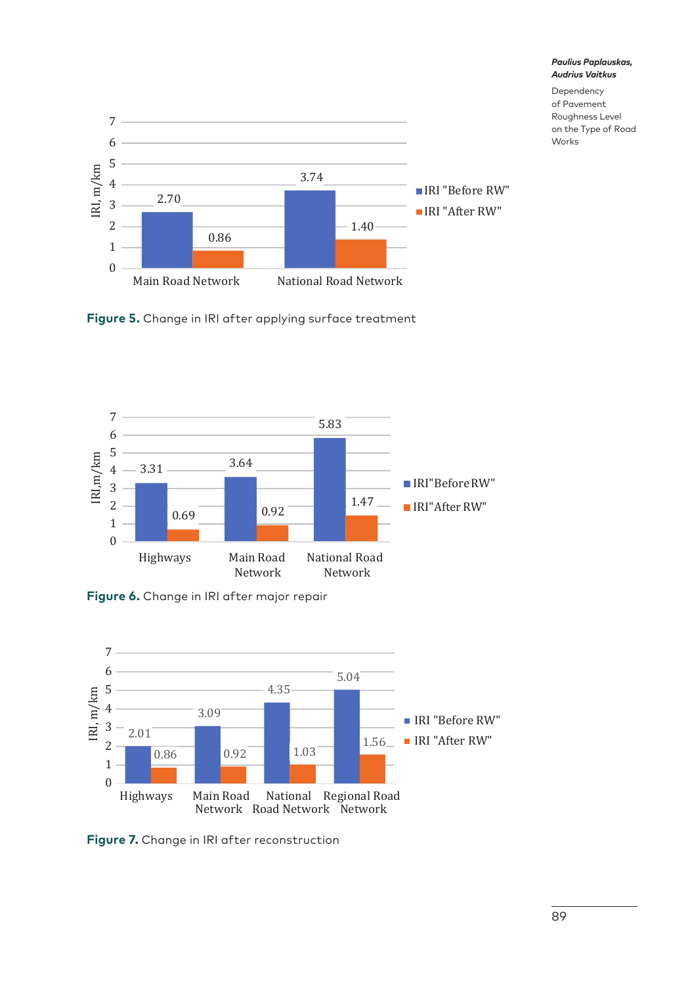

*Paulius Paplauskas, Audrius Vaitkus* Dependency

of Pavement Roughness Level on the Type of Road Works

**Figure 5.** Change in IRI after applying surface treatment



**Figure 6.** Change in IRI after major repair



**Figure 7.** Change in IRI after reconstruction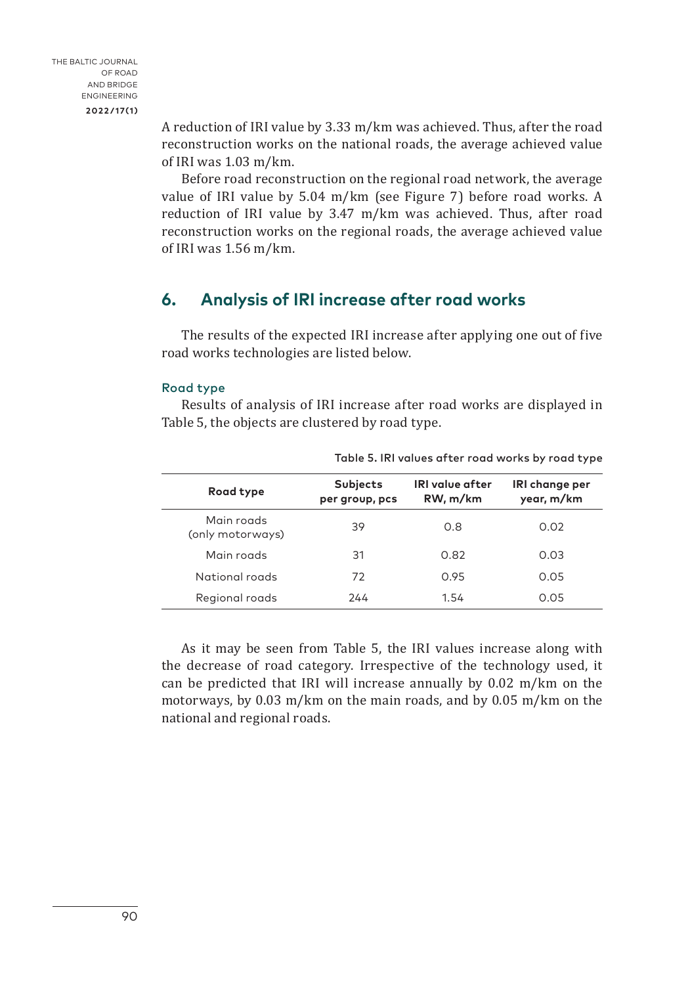A reduction of IRI value by 3.33 m/km was achieved. Thus, after the road reconstruction works on the national roads, the average achieved value of IRI was 1.03 m/km.

Before road reconstruction on the regional road network, the average value of IRI value by 5.04 m/km (see Figure 7) before road works. A reduction of IRI value by 3.47 m/km was achieved. Thus, after road reconstruction works on the regional roads, the average achieved value of IRI was 1.56 m/km.

## **6. Analysis of IRI increase after road works**

The results of the expected IRI increase after applying one out of five road works technologies are listed below.

### Road type

Results of analysis of IRI increase after road works are displayed in Table 5, the objects are clustered by road type.

| Road type                      | Subjects<br>per group, pcs | <b>IRI</b> value after<br>RW, m/km | IRI change per<br>year, m/km |
|--------------------------------|----------------------------|------------------------------------|------------------------------|
| Main roads<br>(only motorways) | 39                         | 0.8                                | 0.02                         |
| Main roads                     | 31                         | 0.82                               | 0.03                         |
| National roads                 | 72                         | 0.95                               | 0.05                         |
| Regional roads                 | 244                        | 1.54                               | 0.05                         |

Table 5. IRI values after road works by road type

As it may be seen from Table 5, the IRI values increase along with the decrease of road category. Irrespective of the technology used, it can be predicted that IRI will increase annually by 0.02 m/km on the motorways, by 0.03 m/km on the main roads, and by 0.05 m/km on the national and regional roads.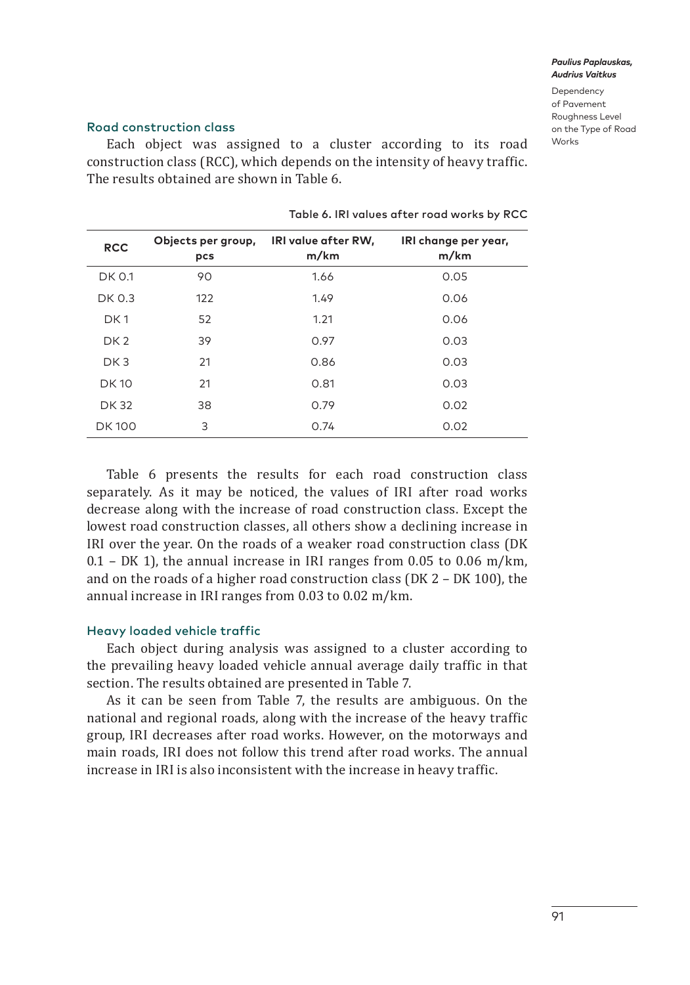Dependency of Pavement Roughness Level on the Type of Road Works

### Road construction class

Each object was assigned to a cluster according to its road construction class (RCC), which depends on the intensity of heavy traffic. The results obtained are shown in Table 6.

| <b>DK 0.1</b><br>90<br>1.66<br>0.05   |
|---------------------------------------|
|                                       |
| DK 0.3<br>122<br>1.49<br>0.06         |
| DK <sub>1</sub><br>52<br>1.21<br>0.06 |
| 39<br>0.97<br>0.03<br>DK <sub>2</sub> |
| 0.03<br>DK <sub>3</sub><br>21<br>0.86 |
| <b>DK10</b><br>21<br>0.81<br>0.03     |
| 0.79<br><b>DK32</b><br>0.02<br>38     |
| 3<br><b>DK100</b><br>0.74<br>0.02     |

Table 6. IRI values after road works by RCC

Table 6 presents the results for each road construction class separately. As it may be noticed, the values of IRI after road works decrease along with the increase of road construction class. Except the lowest road construction classes, all others show a declining increase in IRI over the year. On the roads of a weaker road construction class (DK  $0.1$  – DK 1), the annual increase in IRI ranges from 0.05 to 0.06 m/km, and on the roads of a higher road construction class (DK 2 – DK 100), the annual increase in IRI ranges from 0.03 to 0.02 m/km.

### Heavy loaded vehicle traffic

Each object during analysis was assigned to a cluster according to the prevailing heavy loaded vehicle annual average daily traffic in that section. The results obtained are presented in Table 7.

As it can be seen from Table 7, the results are ambiguous. On the national and regional roads, along with the increase of the heavy traffic group, IRI decreases after road works. However, on the motorways and main roads, IRI does not follow this trend after road works. The annual increase in IRI is also inconsistent with the increase in heavy traffic.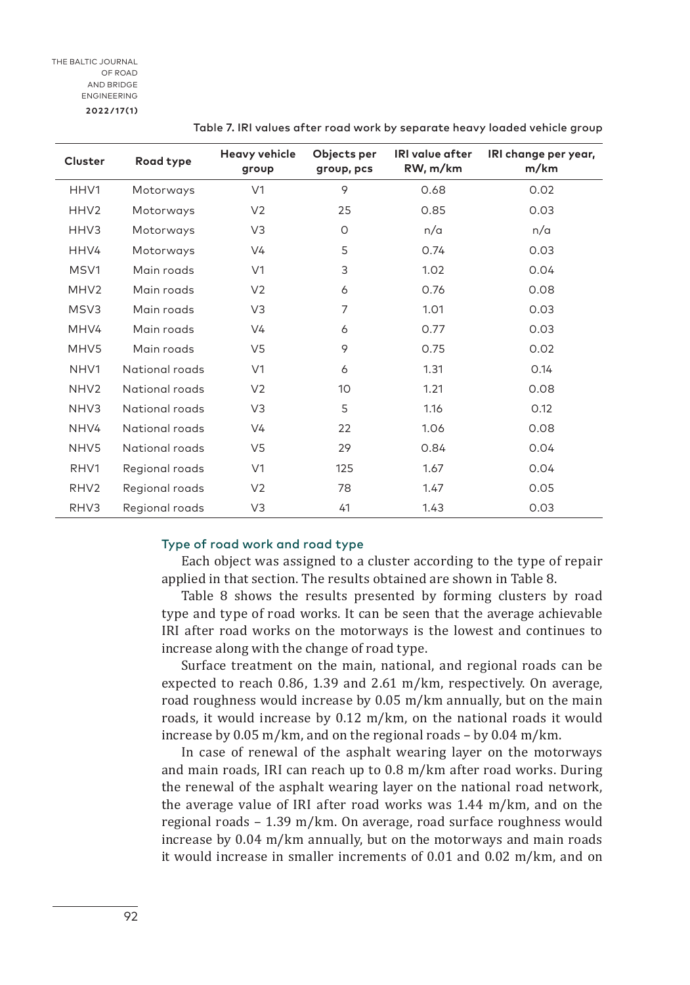| Cluster          | Road type      | <b>Heavy vehicle</b><br>group | Objects per<br>group, pcs | <b>IRI</b> value after<br>RW, m/km | IRI change per year,<br>m/km |
|------------------|----------------|-------------------------------|---------------------------|------------------------------------|------------------------------|
| HHV1             | Motorways      | V <sub>1</sub>                | 9                         | 0.68                               | 0.02                         |
| HHV <sub>2</sub> | Motorways      | V <sub>2</sub>                | 25                        | 0.85                               | 0.03                         |
| HHV3             | Motorways      | V3                            | 0                         | n/a                                | n/a                          |
| HHV4             | Motorways      | V <sub>4</sub>                | 5                         | 0.74                               | 0.03                         |
| MSV1             | Main roads     | V <sub>1</sub>                | 3                         | 1.02                               | 0.04                         |
| MHV <sub>2</sub> | Main roads     | V <sub>2</sub>                | 6                         | 0.76                               | 0.08                         |
| MSV3             | Main roads     | V3                            | 7                         | 1.01                               | 0.03                         |
| MHV4             | Main roads     | V <sub>4</sub>                | 6                         | 0.77                               | 0.03                         |
| MHV5             | Main roads     | V5                            | 9                         | 0.75                               | 0.02                         |
| NHV1             | National roads | V <sub>1</sub>                | 6                         | 1.31                               | 0.14                         |
| NHV <sub>2</sub> | National roads | V <sub>2</sub>                | 10                        | 1.21                               | 0.08                         |
| NHV3             | National roads | V <sub>3</sub>                | 5                         | 1.16                               | 0.12                         |
| NHV4             | National roads | V <sub>4</sub>                | 22                        | 1.06                               | 0.08                         |
| NHV <sub>5</sub> | National roads | V5                            | 29                        | 0.84                               | 0.04                         |
| RHV1             | Regional roads | V <sub>1</sub>                | 125                       | 1.67                               | 0.04                         |
| RHV <sub>2</sub> | Regional roads | V <sub>2</sub>                | 78                        | 1.47                               | 0.05                         |
| RHV3             | Regional roads | V3                            | 41                        | 1.43                               | 0.03                         |

Table 7. IRI values after road work by separate heavy loaded vehicle group

#### Type of road work and road type

Each object was assigned to a cluster according to the type of repair applied in that section. The results obtained are shown in Table 8.

Table 8 shows the results presented by forming clusters by road type and type of road works. It can be seen that the average achievable IRI after road works on the motorways is the lowest and continues to increase along with the change of road type.

Surface treatment on the main, national, and regional roads can be expected to reach 0.86, 1.39 and 2.61 m/km, respectively. On average, road roughness would increase by 0.05 m/km annually, but on the main roads, it would increase by 0.12 m/km, on the national roads it would increase by 0.05 m/km, and on the regional roads – by 0.04 m/km.

In case of renewal of the asphalt wearing layer on the motorways and main roads, IRI can reach up to 0.8 m/km after road works. During the renewal of the asphalt wearing layer on the national road network, the average value of IRI after road works was 1.44 m/km, and on the regional roads – 1.39 m/km. On average, road surface roughness would increase by 0.04 m/km annually, but on the motorways and main roads it would increase in smaller increments of 0.01 and 0.02 m/km, and on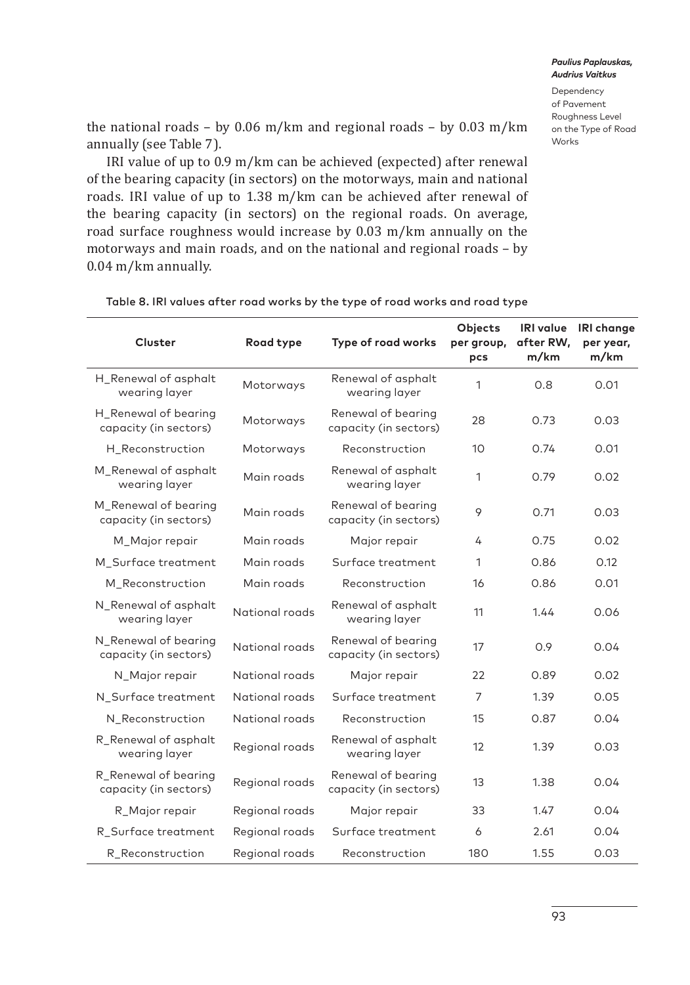Dependency of Pavement Roughness Level on the Type of Road Works

the national roads – by 0.06 m/km and regional roads – by 0.03 m/km annually (see Table 7).

IRI value of up to 0.9 m/km can be achieved (expected) after renewal of the bearing capacity (in sectors) on the motorways, main and national roads. IRI value of up to 1.38 m/km can be achieved after renewal of the bearing capacity (in sectors) on the regional roads. On average, road surface roughness would increase by 0.03 m/km annually on the motorways and main roads, and on the national and regional roads – by 0.04 m/km annually.

| Cluster                                       | Road type      | Type of road works                          | Objects<br>per group,<br>pcs | <b>IRI</b> value<br>after RW,<br>m/km | <b>IRI</b> change<br>per year,<br>m/km |
|-----------------------------------------------|----------------|---------------------------------------------|------------------------------|---------------------------------------|----------------------------------------|
| H_Renewal of asphalt<br>wearing layer         | Motorways      | Renewal of asphalt<br>wearing layer         | 1                            | 0.8                                   | 0.01                                   |
| H_Renewal of bearing<br>capacity (in sectors) | Motorways      | Renewal of bearing<br>capacity (in sectors) | 28                           | 0.73                                  | 0.03                                   |
| H Reconstruction                              | Motorways      | Reconstruction                              | 10                           | 0.74                                  | 0.01                                   |
| M_Renewal of asphalt<br>wearing layer         | Main roads     | Renewal of asphalt<br>wearing layer         | 1                            | 0.79                                  | 0.02                                   |
| M_Renewal of bearing<br>capacity (in sectors) | Main roads     | Renewal of bearing<br>capacity (in sectors) | 9                            | 0.71                                  | 0.03                                   |
| M_Major repair                                | Main roads     | Major repair                                | 4                            | 0.75                                  | 0.02                                   |
| M Surface treatment                           | Main roads     | Surface treatment                           | 1                            | 0.86                                  | 0.12                                   |
| M Reconstruction                              | Main roads     | Reconstruction                              | 16                           | 0.86                                  | 0.01                                   |
| N_Renewal of asphalt<br>wearing layer         | National roads | Renewal of asphalt<br>wearing layer         | 11                           | 1.44                                  | 0.06                                   |
| N_Renewal of bearing<br>capacity (in sectors) | National roads | Renewal of bearing<br>capacity (in sectors) | 17                           | 0.9                                   | 0.04                                   |
| N Major repair                                | National roads | Major repair                                | 22                           | 0.89                                  | 0.02                                   |
| N Surface treatment                           | National roads | Surface treatment                           | $\overline{7}$               | 1.39                                  | 0.05                                   |
| N Reconstruction                              | National roads | Reconstruction                              | 15                           | 0.87                                  | 0.04                                   |
| R Renewal of asphalt<br>wearing layer         | Regional roads | Renewal of asphalt<br>wearing layer         | 12                           | 1.39                                  | 0.03                                   |
| R_Renewal of bearing<br>capacity (in sectors) | Regional roads | Renewal of bearing<br>capacity (in sectors) | 13                           | 1.38                                  | 0.04                                   |
| R_Major repair                                | Regional roads | Major repair                                | 33                           | 1.47                                  | 0.04                                   |
| R_Surface treatment                           | Regional roads | Surface treatment                           | 6                            | 2.61                                  | 0.04                                   |
| R_Reconstruction                              | Regional roads | Reconstruction                              | 180                          | 1.55                                  | 0.03                                   |

Table 8. IRI values after road works by the type of road works and road type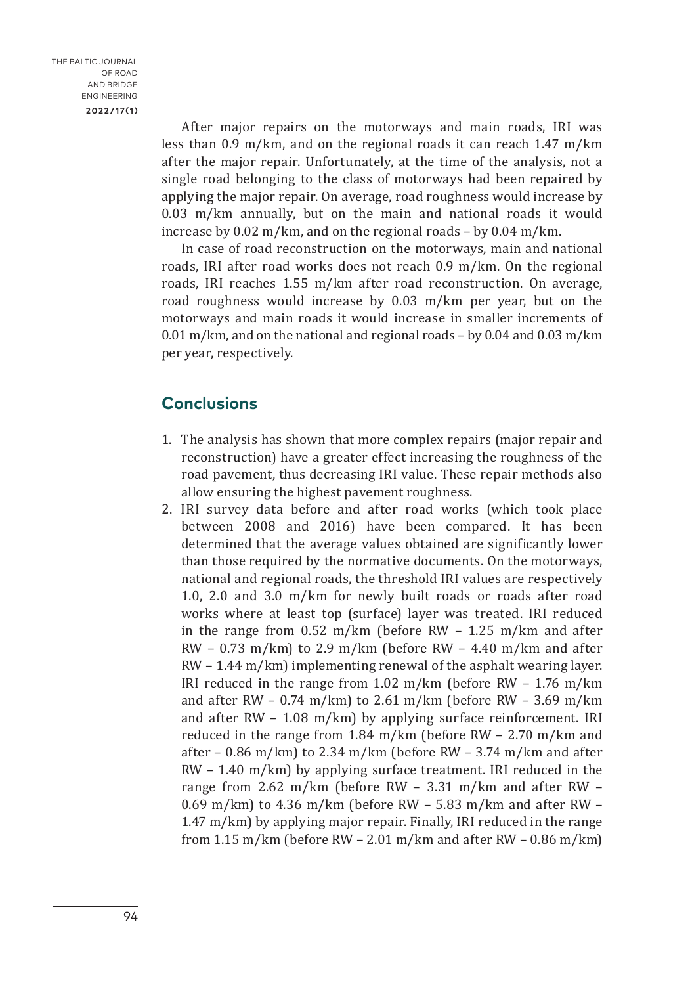After major repairs on the motorways and main roads, IRI was less than 0.9 m/km, and on the regional roads it can reach 1.47 m/km after the major repair. Unfortunately, at the time of the analysis, not a single road belonging to the class of motorways had been repaired by applying the major repair. On average, road roughness would increase by 0.03 m/km annually, but on the main and national roads it would increase by 0.02 m/km, and on the regional roads – by 0.04 m/km.

In case of road reconstruction on the motorways, main and national roads, IRI after road works does not reach 0.9 m/km. On the regional roads, IRI reaches 1.55 m/km after road reconstruction. On average, road roughness would increase by 0.03 m/km per year, but on the motorways and main roads it would increase in smaller increments of 0.01 m/km, and on the national and regional roads – by 0.04 and 0.03 m/km per year, respectively.

## **Conclusions**

- 1. The analysis has shown that more complex repairs (major repair and reconstruction) have a greater effect increasing the roughness of the road pavement, thus decreasing IRI value. These repair methods also allow ensuring the highest pavement roughness.
- 2. IRI survey data before and after road works (which took place between 2008 and 2016) have been compared. It has been determined that the average values obtained are significantly lower than those required by the normative documents. On the motorways, national and regional roads, the threshold IRI values are respectively 1.0, 2.0 and 3.0 m/km for newly built roads or roads after road works where at least top (surface) layer was treated. IRI reduced in the range from 0.52 m/km (before RW – 1.25 m/km and after  $RW - 0.73$  m/km) to 2.9 m/km (before RW - 4.40 m/km and after RW – 1.44 m/km) implementing renewal of the asphalt wearing layer. IRI reduced in the range from 1.02 m/km (before RW – 1.76 m/km and after RW – 0.74 m/km) to 2.61 m/km (before RW – 3.69 m/km and after RW – 1.08 m/km) by applying surface reinforcement. IRI reduced in the range from 1.84 m/km (before RW – 2.70 m/km and after – 0.86 m/km) to 2.34 m/km (before RW – 3.74 m/km and after RW – 1.40 m/km) by applying surface treatment. IRI reduced in the range from 2.62 m/km (before RW – 3.31 m/km and after RW – 0.69 m/km) to 4.36 m/km (before RW  $-$  5.83 m/km and after RW  $-$ 1.47 m/km) by applying major repair. Finally, IRI reduced in the range from 1.15 m/km (before RW – 2.01 m/km and after RW – 0.86 m/km)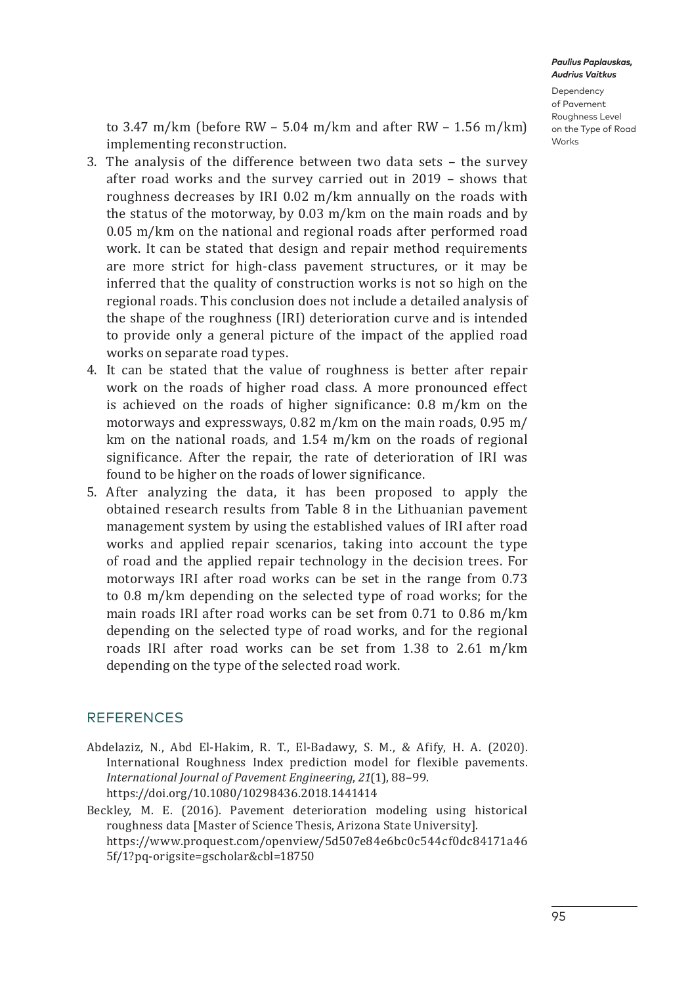Dependency of Pavement Roughness Level on the Type of Road **Works** 

to 3.47 m/km (before RW – 5.04 m/km and after RW – 1.56 m/km) implementing reconstruction.

- 3. The analysis of the difference between two data sets the survey after road works and the survey carried out in 2019 – shows that roughness decreases by IRI 0.02 m/km annually on the roads with the status of the motorway, by 0.03 m/km on the main roads and by 0.05 m/km on the national and regional roads after performed road work. It can be stated that design and repair method requirements are more strict for high-class pavement structures, or it may be inferred that the quality of construction works is not so high on the regional roads. This conclusion does not include a detailed analysis of the shape of the roughness (IRI) deterioration curve and is intended to provide only a general picture of the impact of the applied road works on separate road types.
- 4. It can be stated that the value of roughness is better after repair work on the roads of higher road class. A more pronounced effect is achieved on the roads of higher significance: 0.8 m/km on the motorways and expressways, 0.82 m/km on the main roads, 0.95 m/ km on the national roads, and 1.54 m/km on the roads of regional significance. After the repair, the rate of deterioration of IRI was found to be higher on the roads of lower significance.
- 5. After analyzing the data, it has been proposed to apply the obtained research results from Table 8 in the Lithuanian pavement management system by using the established values of IRI after road works and applied repair scenarios, taking into account the type of road and the applied repair technology in the decision trees. For motorways IRI after road works can be set in the range from 0.73 to 0.8 m/km depending on the selected type of road works; for the main roads IRI after road works can be set from 0.71 to 0.86 m/km depending on the selected type of road works, and for the regional roads IRI after road works can be set from 1.38 to 2.61 m/km depending on the type of the selected road work.

## **REFERENCES**

- Abdelaziz, N., Abd El-Hakim, R. T., El-Badawy, S. M., & Afify, H. A. (2020). International Roughness Index prediction model for flexible pavements. *International Journal of Pavement Engineering*, *21*(1), 88–99. <https://doi.org/10.1080/10298436.2018.1441414>
- Beckley, M. E. (2016). Pavement deterioration modeling using historical roughness data [Master of Science Thesis, Arizona State University]. https://www.proquest.com/openview/5d507e84e6bc0c544cf0dc84171a46 5f/1?pq-origsite=gscholar&cbl=18750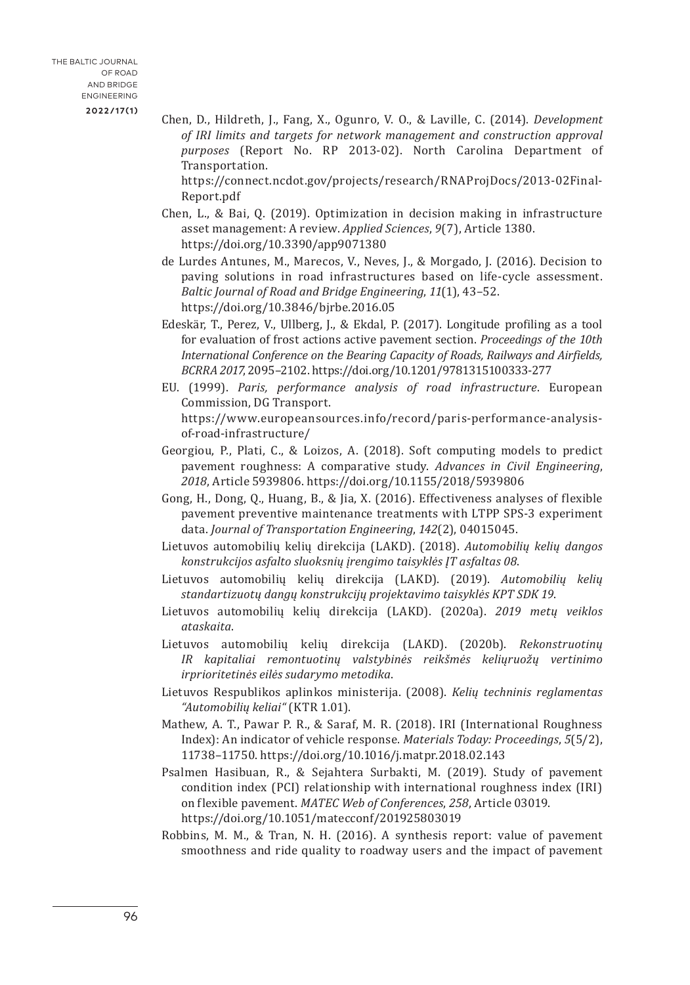Chen, D., Hildreth, J., Fang, X., Ogunro, V. O., & Laville, C. (2014). *Development of IRI limits and targets for network management and construction approval purposes* (Report No. RP 2013-02). North Carolina Department of Transportation.

https://connect.ncdot.gov/projects/research/RNAProjDocs/2013-02Final-Report.pdf

- Chen, L., & Bai, Q. (2019). Optimization in decision making in infrastructure asset management: A review. *Applied Sciences*, *9*(7), Article 1380. <https://doi.org/10.3390/app9071380>
- de Lurdes Antunes, M., Marecos, V., Neves, J., & Morgado, J. (2016). Decision to paving solutions in road infrastructures based on life-cycle assessment. *Baltic Journal of Road and Bridge Engineering*, *11*(1), 43–52. <https://doi.org/10.3846/bjrbe.2016.05>
- Edeskär, T., Perez, V., Ullberg, J., & Ekdal, P. (2017). Longitude profiling as a tool for evaluation of frost actions active pavement section. *Proceedings of the 10th International Conference on the Bearing Capacity of Roads, Railways and Airfields, BCRRA 2017*, 2095–2102. <https://doi.org/10.1201/9781315100333-277>
- EU. (1999). *Paris, performance analysis of road infrastructure*. European Commission, DG Transport. https://www.europeansources.info/record/paris-performance-analysisof-road-infrastructure/
- Georgiou, P., Plati, C., & Loizos, A. (2018). Soft computing models to predict pavement roughness: A comparative study. *Advances in Civil Engineering*, *2018*, Article 5939806. <https://doi.org/10.1155/2018/5939806>
- Gong, H., Dong, Q., Huang, B., & Jia, X. (2016). Effectiveness analyses of flexible pavement preventive maintenance treatments with LTPP SPS-3 experiment data. *Journal of Transportation Engineering*, *142*(2), 04015045.
- Lietuvos automobilių kelių direkcija (LAKD). (2018). *Automobilių kelių dangos konstrukcijos asfalto sluoksnių įrengimo taisyklės ĮT asfaltas 08*.
- Lietuvos automobilių kelių direkcija (LAKD). (2019). *Automobilių kelių standartizuotų dangų konstrukcijų projektavimo taisyklės KPT SDK 19*.
- Lietuvos automobilių kelių direkcija (LAKD). (2020a). *2019 metų veiklos ataskaita*.
- Lietuvos automobilių kelių direkcija (LAKD). (2020b). *Rekonstruotinų IR kapitaliai remontuotinų valstybinės reikšmės keliųruožų vertinimo irprioritetinės eilės sudarymo metodika*.
- Lietuvos Respublikos aplinkos ministerija. (2008). *Kelių techninis reglamentas "Automobilių keliai"* (KTR 1.01).
- Mathew, A. T., Pawar P. R., & Saraf, M. R. (2018). IRI (International Roughness Index): An indicator of vehicle response. *Materials Today: Proceedings*, *5*(5/2), 11738–11750. <https://doi.org/10.1016/j.matpr.2018.02.143>
- Psalmen Hasibuan, R., & Sejahtera Surbakti, M. (2019). Study of pavement condition index (PCI) relationship with international roughness index (IRI) on flexible pavement. *MATEC Web of Conferences*, *258*, Article 03019. <https://doi.org/10.1051/matecconf/201925803019>
- Robbins, M. M., & Tran, N. H. (2016). A synthesis report: value of pavement smoothness and ride quality to roadway users and the impact of pavement